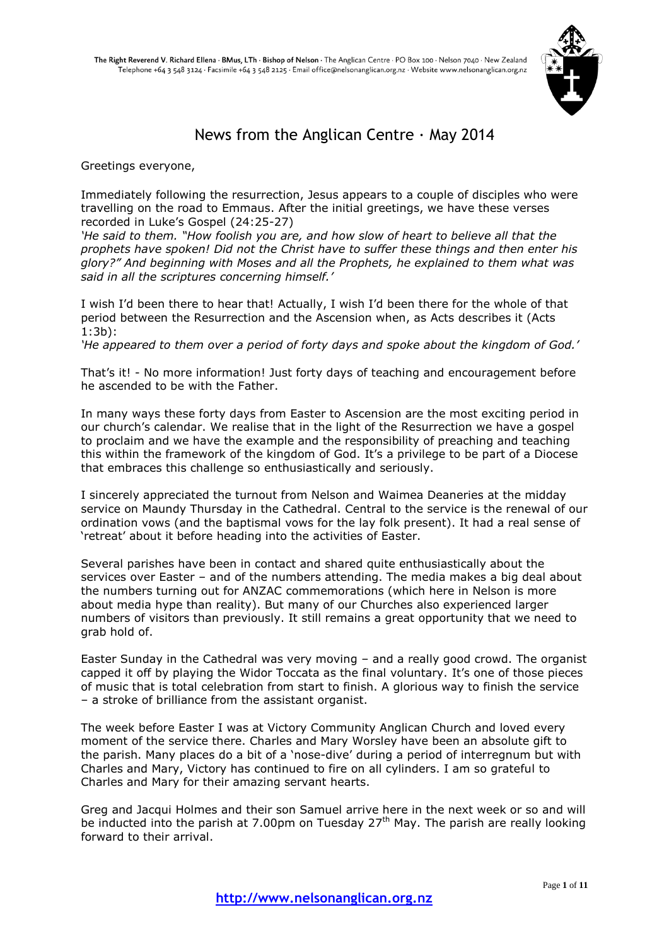

# News from the Anglican Centre  $\cdot$  May 2014

Greetings everyone,

Immediately following the resurrection, Jesus appears to a couple of disciples who were travelling on the road to Emmaus. After the initial greetings, we have these verses recorded in Luke's Gospel (24:25-27)

*'He said to them. "How foolish you are, and how slow of heart to believe all that the prophets have spoken! Did not the Christ have to suffer these things and then enter his glory?" And beginning with Moses and all the Prophets, he explained to them what was said in all the scriptures concerning himself.'*

I wish I'd been there to hear that! Actually, I wish I'd been there for the whole of that period between the Resurrection and the Ascension when, as Acts describes it (Acts 1:3b):

*'He appeared to them over a period of forty days and spoke about the kingdom of God.'*

That's it! - No more information! Just forty days of teaching and encouragement before he ascended to be with the Father.

In many ways these forty days from Easter to Ascension are the most exciting period in our church's calendar. We realise that in the light of the Resurrection we have a gospel to proclaim and we have the example and the responsibility of preaching and teaching this within the framework of the kingdom of God. It's a privilege to be part of a Diocese that embraces this challenge so enthusiastically and seriously.

I sincerely appreciated the turnout from Nelson and Waimea Deaneries at the midday service on Maundy Thursday in the Cathedral. Central to the service is the renewal of our ordination vows (and the baptismal vows for the lay folk present). It had a real sense of 'retreat' about it before heading into the activities of Easter.

Several parishes have been in contact and shared quite enthusiastically about the services over Easter – and of the numbers attending. The media makes a big deal about the numbers turning out for ANZAC commemorations (which here in Nelson is more about media hype than reality). But many of our Churches also experienced larger numbers of visitors than previously. It still remains a great opportunity that we need to grab hold of.

Easter Sunday in the Cathedral was very moving – and a really good crowd. The organist capped it off by playing the Widor Toccata as the final voluntary. It's one of those pieces of music that is total celebration from start to finish. A glorious way to finish the service – a stroke of brilliance from the assistant organist.

The week before Easter I was at Victory Community Anglican Church and loved every moment of the service there. Charles and Mary Worsley have been an absolute gift to the parish. Many places do a bit of a 'nose-dive' during a period of interregnum but with Charles and Mary, Victory has continued to fire on all cylinders. I am so grateful to Charles and Mary for their amazing servant hearts.

Greg and Jacqui Holmes and their son Samuel arrive here in the next week or so and will be inducted into the parish at 7.00pm on Tuesday  $27<sup>th</sup>$  May. The parish are really looking forward to their arrival.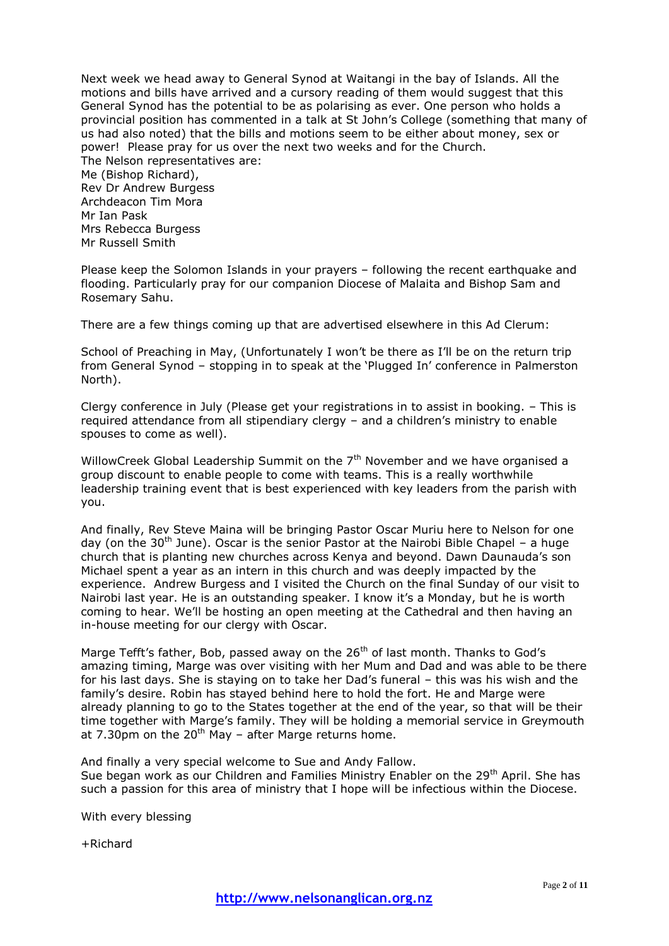Next week we head away to General Synod at Waitangi in the bay of Islands. All the motions and bills have arrived and a cursory reading of them would suggest that this General Synod has the potential to be as polarising as ever. One person who holds a provincial position has commented in a talk at St John's College (something that many of us had also noted) that the bills and motions seem to be either about money, sex or power! Please pray for us over the next two weeks and for the Church. The Nelson representatives are: Me (Bishop Richard), Rev Dr Andrew Burgess Archdeacon Tim Mora Mr Ian Pask Mrs Rebecca Burgess Mr Russell Smith

Please keep the Solomon Islands in your prayers – following the recent earthquake and flooding. Particularly pray for our companion Diocese of Malaita and Bishop Sam and Rosemary Sahu.

There are a few things coming up that are advertised elsewhere in this Ad Clerum:

School of Preaching in May, (Unfortunately I won't be there as I'll be on the return trip from General Synod – stopping in to speak at the 'Plugged In' conference in Palmerston North).

Clergy conference in July (Please get your registrations in to assist in booking. – This is required attendance from all stipendiary clergy – and a children's ministry to enable spouses to come as well).

WillowCreek Global Leadership Summit on the  $7<sup>th</sup>$  November and we have organised a group discount to enable people to come with teams. This is a really worthwhile leadership training event that is best experienced with key leaders from the parish with you.

And finally, Rev Steve Maina will be bringing Pastor Oscar Muriu here to Nelson for one day (on the 30<sup>th</sup> June). Oscar is the senior Pastor at the Nairobi Bible Chapel – a huge church that is planting new churches across Kenya and beyond. Dawn Daunauda's son Michael spent a year as an intern in this church and was deeply impacted by the experience. Andrew Burgess and I visited the Church on the final Sunday of our visit to Nairobi last year. He is an outstanding speaker. I know it's a Monday, but he is worth coming to hear. We'll be hosting an open meeting at the Cathedral and then having an in-house meeting for our clergy with Oscar.

Marge Tefft's father, Bob, passed away on the 26<sup>th</sup> of last month. Thanks to God's amazing timing, Marge was over visiting with her Mum and Dad and was able to be there for his last days. She is staying on to take her Dad's funeral – this was his wish and the family's desire. Robin has stayed behind here to hold the fort. He and Marge were already planning to go to the States together at the end of the year, so that will be their time together with Marge's family. They will be holding a memorial service in Greymouth at 7.30pm on the  $20<sup>th</sup>$  May – after Marge returns home.

And finally a very special welcome to Sue and Andy Fallow. Sue began work as our Children and Families Ministry Enabler on the 29<sup>th</sup> April. She has such a passion for this area of ministry that I hope will be infectious within the Diocese.

With every blessing

+Richard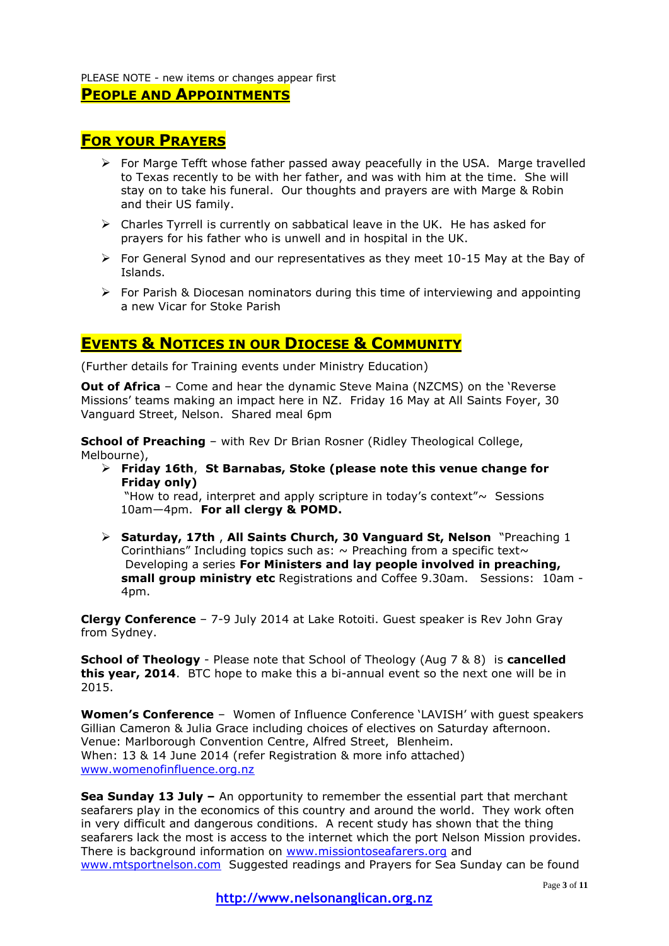#### PLEASE NOTE - new items or changes appear first

## **PEOPLE AND APPOINTMENTS**

## **FOR YOUR PRAYERS**

- $\triangleright$  For Marge Tefft whose father passed away peacefully in the USA. Marge travelled to Texas recently to be with her father, and was with him at the time. She will stay on to take his funeral. Our thoughts and prayers are with Marge & Robin and their US family.
- Charles Tyrrell is currently on sabbatical leave in the UK. He has asked for prayers for his father who is unwell and in hospital in the UK.
- $\triangleright$  For General Synod and our representatives as they meet 10-15 May at the Bay of Islands.
- $\triangleright$  For Parish & Diocesan nominators during this time of interviewing and appointing a new Vicar for Stoke Parish

## **EVENTS & NOTICES IN OUR DIOCESE & COMMUNITY**

(Further details for Training events under Ministry Education)

**Out of Africa** – Come and hear the dynamic Steve Maina (NZCMS) on the 'Reverse Missions' teams making an impact here in NZ. Friday 16 May at All Saints Foyer, 30 Vanguard Street, Nelson. Shared meal 6pm

**School of Preaching** – with Rev Dr Brian Rosner (Ridley Theological College, Melbourne),

 **Friday 16th**, **St Barnabas, Stoke (please note this venue change for Friday only)**

"How to read, interpret and apply scripture in today's context" $\sim$  Sessions 10am—4pm. **For all clergy & POMD.** 

 **Saturday, 17th** , **All Saints Church, 30 Vanguard St, Nelson** "Preaching 1 Corinthians" Including topics such as:  $\sim$  Preaching from a specific text $\sim$ Developing a series **For Ministers and lay people involved in preaching, small group ministry etc** Registrations and Coffee 9.30am. Sessions: 10am - 4pm.

**Clergy Conference** – 7-9 July 2014 at Lake Rotoiti. Guest speaker is Rev John Gray from Sydney.

**School of Theology** - Please note that School of Theology (Aug 7 & 8) is **cancelled this year, 2014**. BTC hope to make this a bi-annual event so the next one will be in 2015.

**Women's Conference** – Women of Influence Conference 'LAVISH' with guest speakers Gillian Cameron & Julia Grace including choices of electives on Saturday afternoon. Venue: Marlborough Convention Centre, Alfred Street, Blenheim. When: 13 & 14 June 2014 (refer Registration & more info attached) [www.womenofinfluence.org.nz](http://www.womenofinfluence.org.nz/)

**Sea Sunday 13 July –** An opportunity to remember the essential part that merchant seafarers play in the economics of this country and around the world. They work often in very difficult and dangerous conditions. A recent study has shown that the thing seafarers lack the most is access to the internet which the port Nelson Mission provides. There is background information on [www.missiontoseafarers.org](http://www.missiontoseafarers.org/) and [www.mtsportnelson.com](http://www.mtsportnelson.com/) Suggested readings and Prayers for Sea Sunday can be found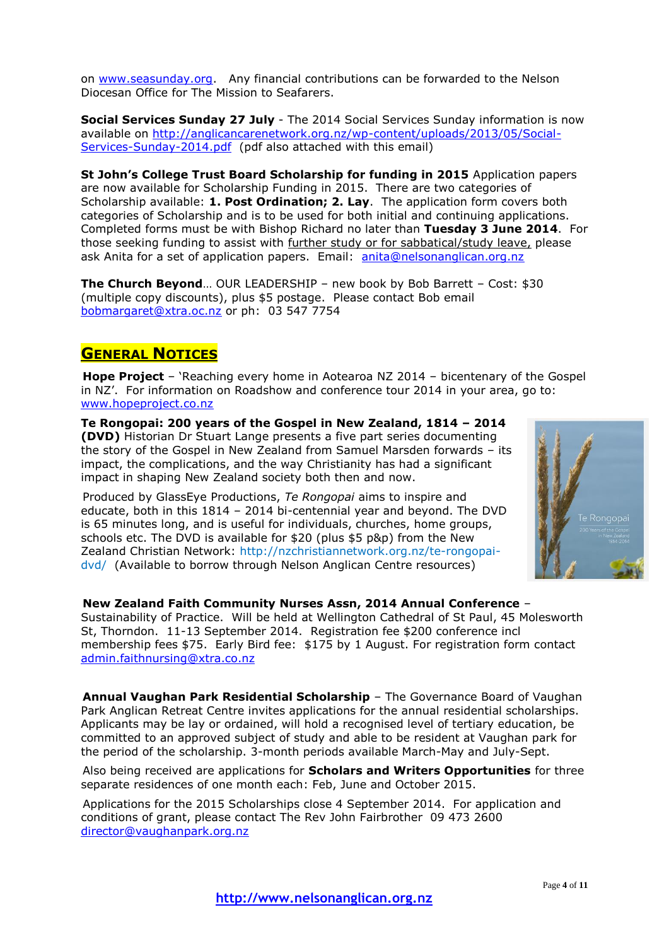on [www.seasunday.org.](http://www.seasunday.org/) Any financial contributions can be forwarded to the Nelson Diocesan Office for The Mission to Seafarers.

**Social Services Sunday 27 July** - The 2014 Social Services Sunday information is now available on [http://anglicancarenetwork.org.nz/wp-content/uploads/2013/05/Social-](http://anglicancarenetwork.org.nz/wp-content/uploads/2013/05/Social-Services-Sunday-2014.pdf)[Services-Sunday-2014.pdf](http://anglicancarenetwork.org.nz/wp-content/uploads/2013/05/Social-Services-Sunday-2014.pdf) (pdf also attached with this email)

**St John's College Trust Board Scholarship for funding in 2015** Application papers are now available for Scholarship Funding in 2015. There are two categories of Scholarship available: **1. Post Ordination; 2. Lay**. The application form covers both categories of Scholarship and is to be used for both initial and continuing applications. Completed forms must be with Bishop Richard no later than **Tuesday 3 June 2014**. For those seeking funding to assist with further study or for sabbatical/study leave, please ask Anita for a set of application papers. Email: [anita@nelsonanglican.org.nz](mailto:anita@nelsonanglican.org.nz)

**The Church Beyond**… OUR LEADERSHIP – new book by Bob Barrett – Cost: \$30 (multiple copy discounts), plus \$5 postage. Please contact Bob email [bobmargaret@xtra.oc.nz](mailto:bobmargaret@xtra.oc.nz) or ph: 03 547 7754

# **GENERAL NOTICES**

**Hope Project** – 'Reaching every home in Aotearoa NZ 2014 – bicentenary of the Gospel in NZ'. For information on Roadshow and conference tour 2014 in your area, go to: [www.hopeproject.co.nz](http://www.hopeproject.co.nz/)

**Te Rongopai: 200 years of the Gospel in New Zealand, 1814 – 2014 (DVD)** Historian Dr Stuart Lange presents a five part series documenting the story of the Gospel in New Zealand from Samuel Marsden forwards – its impact, the complications, and the way Christianity has had a significant impact in shaping New Zealand society both then and now.

Produced by GlassEye Productions, *Te Rongopai* aims to inspire and educate, both in this 1814 – 2014 bi-centennial year and beyond. The DVD is 65 minutes long, and is useful for individuals, churches, home groups, schools etc. The DVD is available for \$20 (plus \$5 p&p) from the New Zealand Christian Network: http:/[/nzchristiannetwork.org.nz/te-rongopai](http://nzchristiannetwork.org.nz/te-rongopai-dvd/)[dvd/](http://nzchristiannetwork.org.nz/te-rongopai-dvd/) (Available to borrow through Nelson Anglican Centre resources)



#### **New Zealand Faith Community Nurses Assn, 2014 Annual Conference** –

Sustainability of Practice. Will be held at Wellington Cathedral of St Paul, 45 Molesworth St, Thorndon. 11-13 September 2014. Registration fee \$200 conference incl membership fees \$75. Early Bird fee: \$175 by 1 August. For registration form contact [admin.faithnursing@xtra.co.nz](mailto:admin.faithnursing@xtra.co.nz) 

**Annual Vaughan Park Residential Scholarship** – The Governance Board of Vaughan Park Anglican Retreat Centre invites applications for the annual residential scholarships. Applicants may be lay or ordained, will hold a recognised level of tertiary education, be committed to an approved subject of study and able to be resident at Vaughan park for the period of the scholarship. 3-month periods available March-May and July-Sept.

Also being received are applications for **Scholars and Writers Opportunities** for three separate residences of one month each: Feb, June and October 2015.

Applications for the 2015 Scholarships close 4 September 2014. For application and conditions of grant, please contact The Rev John Fairbrother 09 473 2600 [director@vaughanpark.org.nz](mailto:director@vaughanpark.org.nz)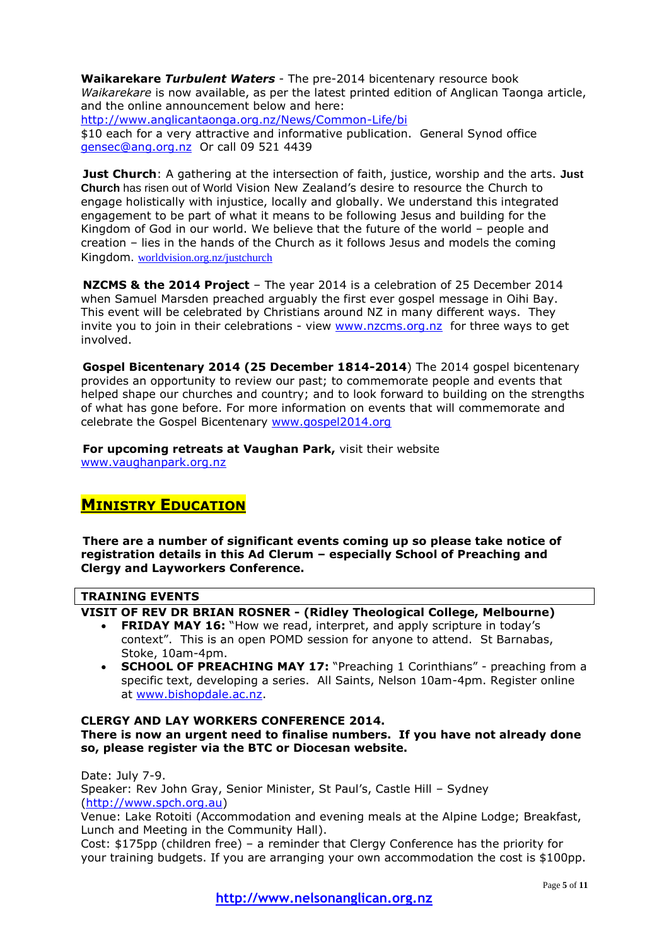**Waikarekare** *Turbulent Waters* - The pre-2014 bicentenary resource book *Waikarekare* is now available, as per the latest printed edition of Anglican Taonga article, and the online announcement below and here:

<http://www.anglicantaonga.org.nz/News/Common-Life/bi> \$10 each for a very attractive and informative publication. General Synod office [gensec@ang.org.nz](mailto:gensec@ang.org.nz) Or call 09 521 4439

**Just Church**: A gathering at the intersection of faith, justice, worship and the arts. **Just Church** has risen out of World Vision New Zealand's desire to resource the Church to engage holistically with injustice, locally and globally. We understand this integrated engagement to be part of what it means to be following Jesus and building for the Kingdom of God in our world. We believe that the future of the world – people and creation – lies in the hands of the Church as it follows Jesus and models the coming Kingdom. [worldvision.org.nz/justchurch](http://www.worldvision.org.nz/justchurch)

**NZCMS & the 2014 Project** – The year 2014 is a celebration of 25 December 2014 when Samuel Marsden preached arguably the first ever gospel message in Oihi Bay. This event will be celebrated by Christians around NZ in many different ways. They invite you to join in their celebrations - view [www.nzcms.org.nz](http://www.nzcms.org.nz/) for three ways to get involved.

**Gospel Bicentenary 2014 (25 December 1814-2014**) The 2014 gospel bicentenary provides an opportunity to review our past; to commemorate people and events that helped shape our churches and country; and to look forward to building on the strengths of what has gone before. For more information on events that will commemorate and celebrate the Gospel Bicentenary [www.gospel2014.org](http://www.gospel2014.org/)

**For upcoming retreats at Vaughan Park,** visit their website [www.vaughanpark.org.nz](http://www.vaughanpark.org.nz/)

# **MINISTRY EDUCATION**

**There are a number of significant events coming up so please take notice of registration details in this Ad Clerum – especially School of Preaching and Clergy and Layworkers Conference.**

## **TRAINING EVENTS**

**VISIT OF REV DR BRIAN ROSNER - (Ridley Theological College, Melbourne)**

- **FRIDAY MAY 16:** "How we read, interpret, and apply scripture in today's context". This is an open POMD session for anyone to attend. St Barnabas, Stoke, 10am-4pm.
- **SCHOOL OF PREACHING MAY 17:** "Preaching 1 Corinthians" preaching from a specific text, developing a series. All Saints, Nelson 10am-4pm. Register online at [www.bishopdale.ac.nz.](http://www.bishopdale.ac.nz/)

#### **CLERGY AND LAY WORKERS CONFERENCE 2014. There is now an urgent need to finalise numbers. If you have not already done so, please register via the BTC or Diocesan website.**

Date: July 7-9. Speaker: Rev John Gray, Senior Minister, St Paul's, Castle Hill – Sydney [\(http://www.spch.org.au\)](http://www.spch.org.au/)

Venue: Lake Rotoiti (Accommodation and evening meals at the Alpine Lodge; Breakfast, Lunch and Meeting in the Community Hall).

Cost: \$175pp (children free) – a reminder that Clergy Conference has the priority for your training budgets. If you are arranging your own accommodation the cost is \$100pp.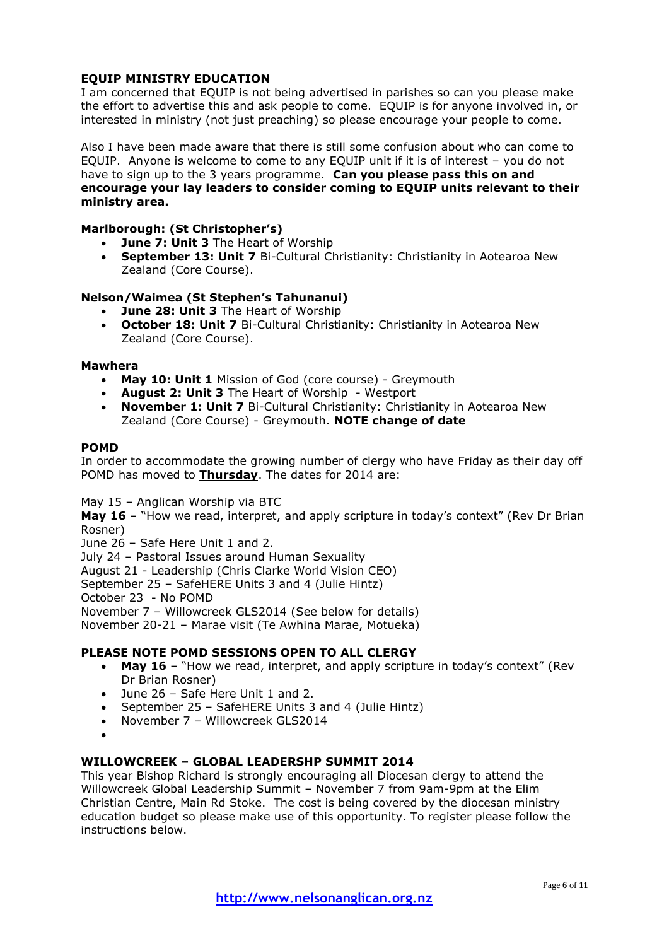## **EQUIP MINISTRY EDUCATION**

I am concerned that EQUIP is not being advertised in parishes so can you please make the effort to advertise this and ask people to come. EQUIP is for anyone involved in, or interested in ministry (not just preaching) so please encourage your people to come.

Also I have been made aware that there is still some confusion about who can come to EQUIP. Anyone is welcome to come to any EQUIP unit if it is of interest – you do not have to sign up to the 3 years programme. **Can you please pass this on and encourage your lay leaders to consider coming to EQUIP units relevant to their ministry area.**

## **Marlborough: (St Christopher's)**

- **June 7: Unit 3** The Heart of Worship
- **September 13: Unit 7** Bi-Cultural Christianity: Christianity in Aotearoa New Zealand (Core Course).

## **Nelson/Waimea (St Stephen's Tahunanui)**

- **June 28: Unit 3** The Heart of Worship
- **October 18: Unit 7** Bi-Cultural Christianity: Christianity in Aotearoa New Zealand (Core Course).

#### **Mawhera**

- **May 10: Unit 1** Mission of God (core course) Greymouth
- **August 2: Unit 3** The Heart of Worship Westport
- **November 1: Unit 7** Bi-Cultural Christianity: Christianity in Aotearoa New Zealand (Core Course) - Greymouth. **NOTE change of date**

#### **POMD**

In order to accommodate the growing number of clergy who have Friday as their day off POMD has moved to **Thursday**. The dates for 2014 are:

May 15 – Anglican Worship via BTC

**May 16** – "How we read, interpret, and apply scripture in today's context" (Rev Dr Brian Rosner)

June 26 – Safe Here Unit 1 and 2.

July 24 – Pastoral Issues around Human Sexuality

August 21 - Leadership (Chris Clarke World Vision CEO)

September 25 – SafeHERE Units 3 and 4 (Julie Hintz)

October 23 - No POMD

November 7 – Willowcreek GLS2014 (See below for details)

November 20-21 – Marae visit (Te Awhina Marae, Motueka)

#### **PLEASE NOTE POMD SESSIONS OPEN TO ALL CLERGY**

- **May 16** "How we read, interpret, and apply scripture in today's context" (Rev Dr Brian Rosner)
- June 26 Safe Here Unit 1 and 2.
- September 25 SafeHERE Units 3 and 4 (Julie Hintz)
- November 7 Willowcreek GLS2014
- $\bullet$

#### **WILLOWCREEK – GLOBAL LEADERSHP SUMMIT 2014**

This year Bishop Richard is strongly encouraging all Diocesan clergy to attend the Willowcreek Global Leadership Summit – November 7 from 9am-9pm at the Elim Christian Centre, Main Rd Stoke. The cost is being covered by the diocesan ministry education budget so please make use of this opportunity. To register please follow the instructions below.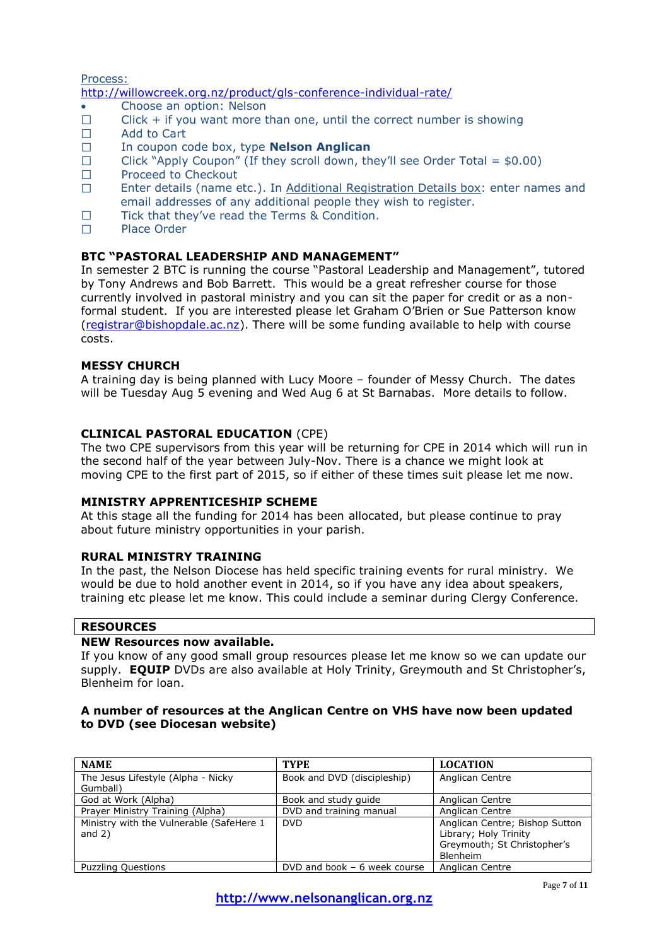Process:

<http://willowcreek.org.nz/product/gls-conference-individual-rate/>

- Choose an option: Nelson
- $\Box$ Click + if you want more than one, until the correct number is showing
- $\Box$ Add to Cart
- $\Box$ In coupon code box, type **Nelson Anglican**
- $\Box$ Click "Apply Coupon" (If they scroll down, they'll see Order Total =  $$0.00$ )
- $\Box$ Proceed to Checkout
- $\Box$ Enter details (name etc.). In Additional Registration Details box: enter names and email addresses of any additional people they wish to register.
- $\Box$ Tick that they've read the Terms & Condition.
- $\Box$ Place Order

## **BTC "PASTORAL LEADERSHIP AND MANAGEMENT"**

In semester 2 BTC is running the course "Pastoral Leadership and Management", tutored by Tony Andrews and Bob Barrett. This would be a great refresher course for those currently involved in pastoral ministry and you can sit the paper for credit or as a nonformal student. If you are interested please let Graham O'Brien or Sue Patterson know [\(registrar@bishopdale.ac.nz\)](mailto:registrar@bishopdale.ac.nz). There will be some funding available to help with course costs.

## **MESSY CHURCH**

A training day is being planned with Lucy Moore – founder of Messy Church. The dates will be Tuesday Aug 5 evening and Wed Aug 6 at St Barnabas. More details to follow.

## **CLINICAL PASTORAL EDUCATION** (CPE)

The two CPE supervisors from this year will be returning for CPE in 2014 which will run in the second half of the year between July-Nov. There is a chance we might look at moving CPE to the first part of 2015, so if either of these times suit please let me now.

#### **MINISTRY APPRENTICESHIP SCHEME**

At this stage all the funding for 2014 has been allocated, but please continue to pray about future ministry opportunities in your parish.

#### **RURAL MINISTRY TRAINING**

In the past, the Nelson Diocese has held specific training events for rural ministry. We would be due to hold another event in 2014, so if you have any idea about speakers, training etc please let me know. This could include a seminar during Clergy Conference.

#### **RESOURCES**

#### **NEW Resources now available.**

If you know of any good small group resources please let me know so we can update our supply. **EQUIP** DVDs are also available at Holy Trinity, Greymouth and St Christopher's, Blenheim for loan.

## **A number of resources at the Anglican Centre on VHS have now been updated to DVD (see Diocesan website)**

| <b>NAME</b>                              | <b>TYPE</b>                   | <b>LOCATION</b>                |
|------------------------------------------|-------------------------------|--------------------------------|
| The Jesus Lifestyle (Alpha - Nicky       | Book and DVD (discipleship)   | Anglican Centre                |
| Gumball)                                 |                               |                                |
| God at Work (Alpha)                      | Book and study quide          | Anglican Centre                |
| Prayer Ministry Training (Alpha)         | DVD and training manual       | Anglican Centre                |
| Ministry with the Vulnerable (SafeHere 1 | <b>DVD</b>                    | Anglican Centre; Bishop Sutton |
| and $2)$                                 |                               | Library; Holy Trinity          |
|                                          |                               | Greymouth; St Christopher's    |
|                                          |                               | <b>Blenheim</b>                |
| <b>Puzzling Questions</b>                | DVD and book $-6$ week course | Anglican Centre                |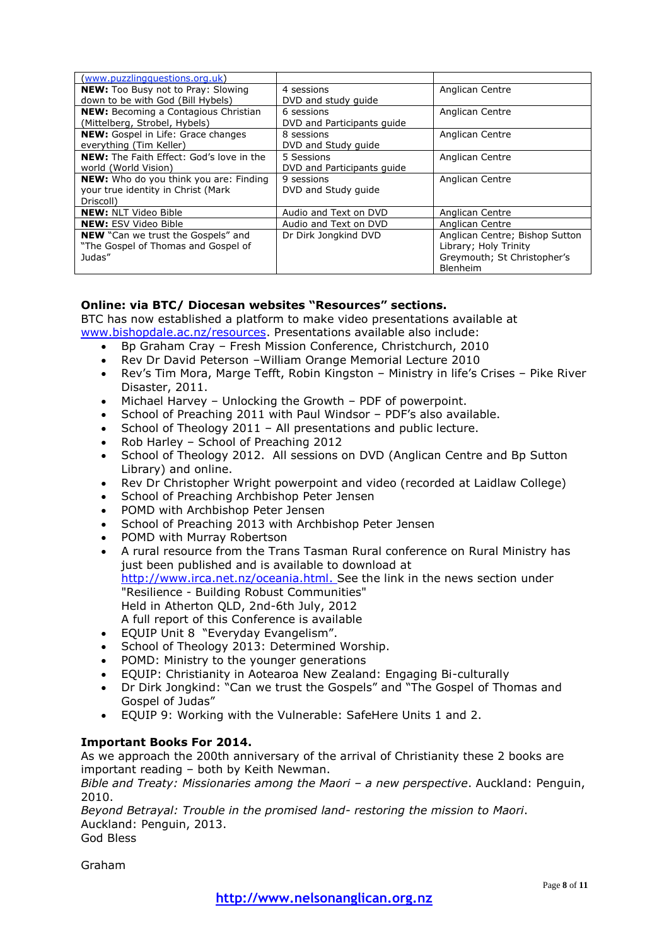| (www.puzzlingquestions.org.uk)                  |                            |                                |
|-------------------------------------------------|----------------------------|--------------------------------|
| <b>NEW:</b> Too Busy not to Pray: Slowing       | 4 sessions                 | Anglican Centre                |
| down to be with God (Bill Hybels)               | DVD and study guide        |                                |
| <b>NEW:</b> Becoming a Contagious Christian     | 6 sessions                 | Anglican Centre                |
| (Mittelberg, Strobel, Hybels)                   | DVD and Participants quide |                                |
| <b>NEW:</b> Gospel in Life: Grace changes       | 8 sessions                 | Anglican Centre                |
| everything (Tim Keller)                         | DVD and Study guide        |                                |
| <b>NEW:</b> The Faith Effect: God's love in the | 5 Sessions                 | Anglican Centre                |
| world (World Vision)                            | DVD and Participants guide |                                |
| <b>NEW:</b> Who do you think you are: Finding   | 9 sessions                 | Anglican Centre                |
| your true identity in Christ (Mark              | DVD and Study guide        |                                |
| Driscoll)                                       |                            |                                |
| <b>NEW: NLT Video Bible</b>                     | Audio and Text on DVD      | Anglican Centre                |
| <b>NEW: ESV Video Bible</b>                     | Audio and Text on DVD      | Anglican Centre                |
| <b>NEW</b> "Can we trust the Gospels" and       | Dr Dirk Jonakind DVD       | Anglican Centre; Bishop Sutton |
| "The Gospel of Thomas and Gospel of             |                            | Library; Holy Trinity          |
| Judas"                                          |                            | Greymouth; St Christopher's    |
|                                                 |                            | Blenheim                       |

## **Online: via BTC/ Diocesan websites "Resources" sections.**

BTC has now established a platform to make video presentations available at [www.bishopdale.ac.nz/resources.](http://www.bishopdale.ac.nz/resources) Presentations available also include:

- Bp Graham Cray Fresh Mission Conference, Christchurch, 2010
- Rev Dr David Peterson William Orange Memorial Lecture 2010
- Rev's Tim Mora, Marge Tefft, Robin Kingston Ministry in life's Crises Pike River Disaster, 2011.
- Michael Harvey Unlocking the Growth PDF of powerpoint.
- School of Preaching 2011 with Paul Windsor PDF's also available.
- School of Theology 2011 All presentations and public lecture.
- Rob Harley School of Preaching 2012
- School of Theology 2012. All sessions on DVD (Anglican Centre and Bp Sutton Library) and online.
- Rev Dr Christopher Wright powerpoint and video (recorded at Laidlaw College)
- School of Preaching Archbishop Peter Jensen
- POMD with Archbishop Peter Jensen
- School of Preaching 2013 with Archbishop Peter Jensen
- POMD with Murray Robertson
- A rural resource from the Trans Tasman Rural conference on Rural Ministry has just been published and is available to download at [http://www.irca.net.nz/oceania.html.](http://www.irca.net.nz/oceania.html) See the link in the news section under "Resilience - Building Robust Communities" Held in Atherton QLD, 2nd-6th July, 2012 A full report of this Conference is available
- EQUIP Unit 8 "Everyday Evangelism".
- School of Theology 2013: Determined Worship.
- POMD: Ministry to the younger generations
- EQUIP: Christianity in Aotearoa New Zealand: Engaging Bi-culturally
- Dr Dirk Jongkind: "Can we trust the Gospels" and "The Gospel of Thomas and Gospel of Judas"
- EQUIP 9: Working with the Vulnerable: SafeHere Units 1 and 2.

## **Important Books For 2014.**

As we approach the 200th anniversary of the arrival of Christianity these 2 books are important reading – both by Keith Newman.

*Bible and Treaty: Missionaries among the Maori – a new perspective*. Auckland: Penguin, 2010.

*Beyond Betrayal: Trouble in the promised land- restoring the mission to Maori*. Auckland: Penguin, 2013. God Bless

Graham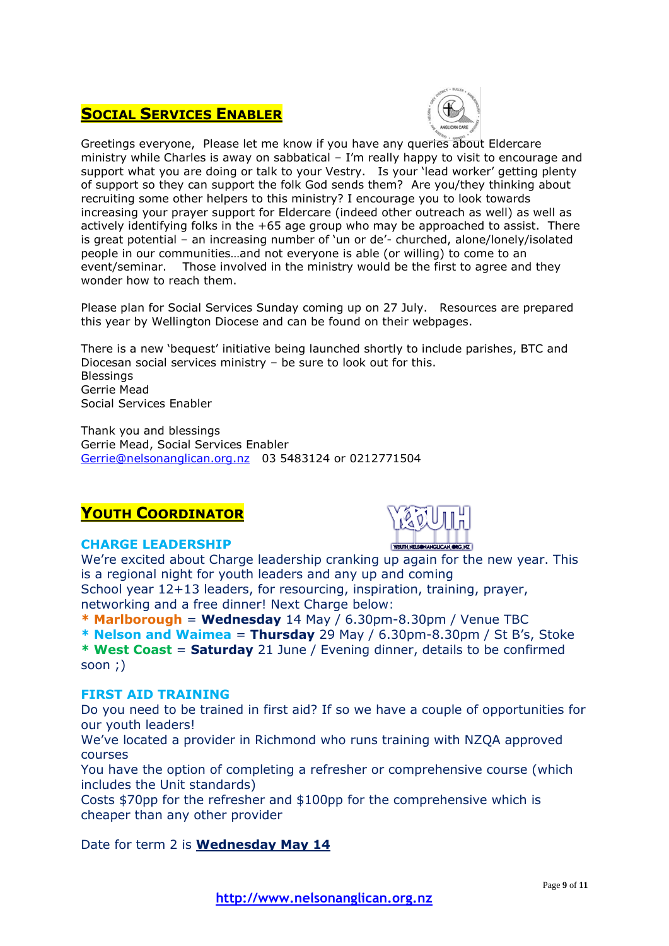# **SOCIAL SERVICES ENABLER**



Greetings everyone, Please let me know if you have any queries about Eldercare ministry while Charles is away on sabbatical – I'm really happy to visit to encourage and support what you are doing or talk to your Vestry. Is your 'lead worker' getting plenty of support so they can support the folk God sends them? Are you/they thinking about recruiting some other helpers to this ministry? I encourage you to look towards increasing your prayer support for Eldercare (indeed other outreach as well) as well as actively identifying folks in the +65 age group who may be approached to assist. There is great potential – an increasing number of 'un or de'- churched, alone/lonely/isolated people in our communities…and not everyone is able (or willing) to come to an event/seminar. Those involved in the ministry would be the first to agree and they wonder how to reach them.

Please plan for Social Services Sunday coming up on 27 July. Resources are prepared this year by Wellington Diocese and can be found on their webpages.

There is a new 'bequest' initiative being launched shortly to include parishes, BTC and Diocesan social services ministry – be sure to look out for this. **Blessings** Gerrie Mead Social Services Enabler

Thank you and blessings Gerrie Mead, Social Services Enabler [Gerrie@nelsonanglican.org.nz](mailto:Gerrie@nelsonanglican.org.nz) 03 5483124 or 0212771504

# **YOUTH COORDINATOR**



## **CHARGE LEADERSHIP**

We're excited about Charge leadership cranking up again for the new year. This is a regional night for youth leaders and any up and coming School year 12+13 leaders, for resourcing, inspiration, training, prayer, networking and a free dinner! Next Charge below:

**\* Marlborough** = **Wednesday** 14 May / 6.30pm-8.30pm / Venue TBC

**\* Nelson and Waimea** = **Thursday** 29 May / 6.30pm-8.30pm / St B's, Stoke

**\* West Coast** = **Saturday** 21 June / Evening dinner, details to be confirmed soon ;)

## **FIRST AID TRAINING**

Do you need to be trained in first aid? If so we have a couple of opportunities for our youth leaders!

We've located a provider in Richmond who runs training with NZQA approved courses

You have the option of completing a refresher or comprehensive course (which includes the Unit standards)

Costs \$70pp for the refresher and \$100pp for the comprehensive which is cheaper than any other provider

Date for term 2 is **Wednesday May 14**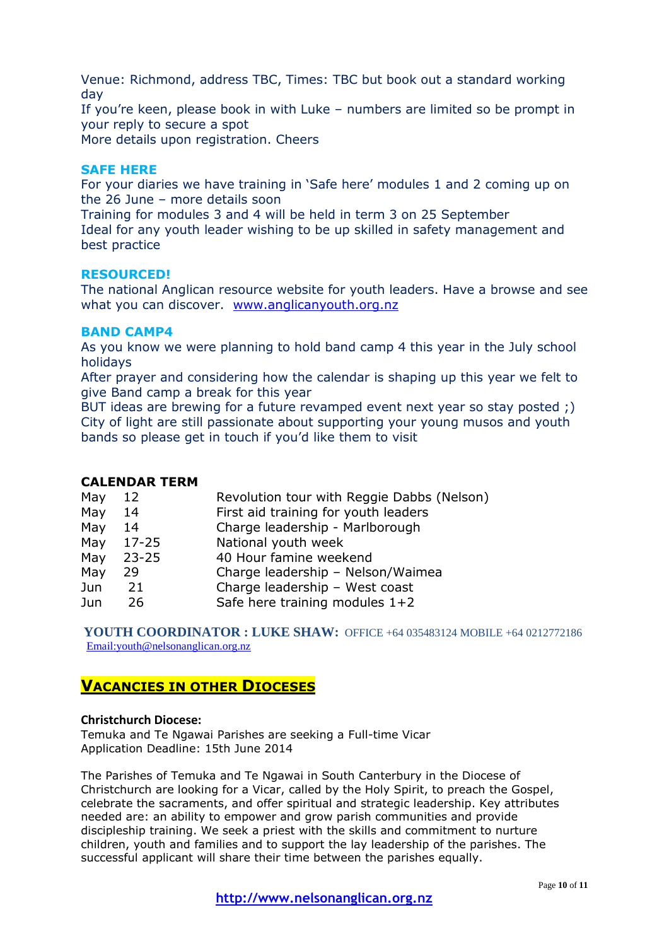Venue: Richmond, address TBC, Times: TBC but book out a standard working day

If you're keen, please book in with Luke – numbers are limited so be prompt in your reply to secure a spot

More details upon registration. Cheers

## **SAFE HERE**

For your diaries we have training in 'Safe here' modules 1 and 2 coming up on the 26 June – more details soon

Training for modules 3 and 4 will be held in term 3 on 25 September Ideal for any youth leader wishing to be up skilled in safety management and best practice

#### **RESOURCED!**

The national Anglican resource website for youth leaders. Have a browse and see what you can discover. [www.anglicanyouth.org.nz](http://www.anglicanyouth.org.nz/)

#### **BAND CAMP4**

As you know we were planning to hold band camp 4 this year in the July school holidays

After prayer and considering how the calendar is shaping up this year we felt to give Band camp a break for this year

BUT ideas are brewing for a future revamped event next year so stay posted ;) City of light are still passionate about supporting your young musos and youth bands so please get in touch if you'd like them to visit

#### **CALENDAR TERM**

| May | 12        | Revolution tour with Reggie Dabbs (Nelson) |
|-----|-----------|--------------------------------------------|
| May | 14        | First aid training for youth leaders       |
| May | 14        | Charge leadership - Marlborough            |
| May | $17 - 25$ | National youth week                        |
| May | $23 - 25$ | 40 Hour famine weekend                     |
| May | 29        | Charge leadership - Nelson/Waimea          |
| Jun | 21        | Charge leadership - West coast             |
| Jun | 26        | Safe here training modules $1+2$           |
|     |           |                                            |

**YOUTH COORDINATOR : LUKE SHAW:** OFFICE +64 035483124 MOBILE +64 0212772186 [Email:youth@nelsonanglican.org.nz](mailto:youth@nelsonanglican.org.nz)

## **VACANCIES IN OTHER DIOCESES**

#### **Christchurch Diocese:**

Temuka and Te Ngawai Parishes are seeking a Full-time Vicar Application Deadline: 15th June 2014

The Parishes of Temuka and Te Ngawai in South Canterbury in the Diocese of Christchurch are looking for a Vicar, called by the Holy Spirit, to preach the Gospel, celebrate the sacraments, and offer spiritual and strategic leadership. Key attributes needed are: an ability to empower and grow parish communities and provide discipleship training. We seek a priest with the skills and commitment to nurture children, youth and families and to support the lay leadership of the parishes. The successful applicant will share their time between the parishes equally.